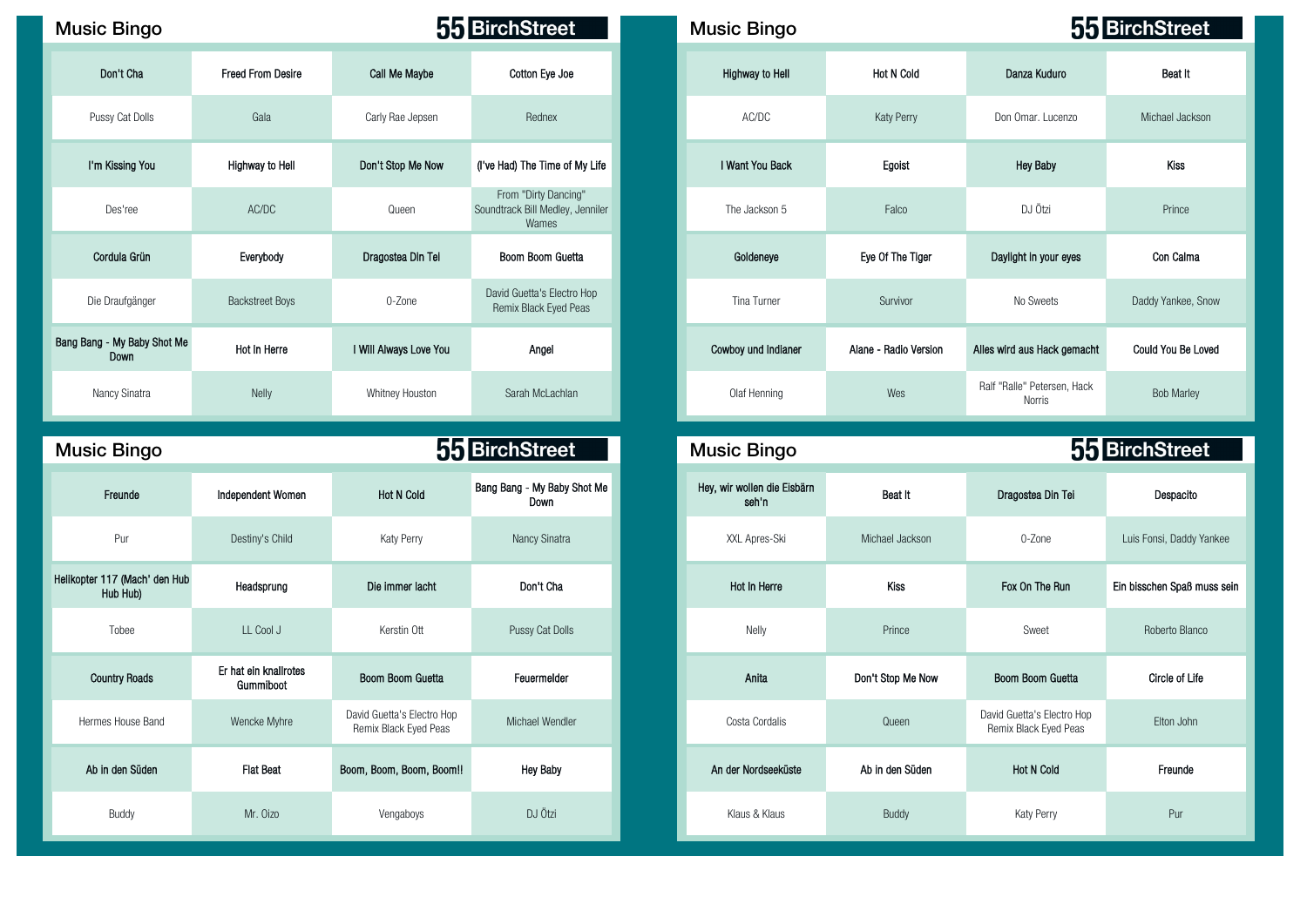## Music Bingo **Music Bingo Music Bingo And All And Accord Bingo** BirchStreet

| Don't Cha                           | <b>Freed From Desire</b> | Call Me Maybe          | Cotton Eye Joe                                                    | <b>Highway to Hell</b> | <b>Hot N Cold</b>     | Danza Kuduro                          | Beat It           |
|-------------------------------------|--------------------------|------------------------|-------------------------------------------------------------------|------------------------|-----------------------|---------------------------------------|-------------------|
| Pussy Cat Dolls                     | Gala                     | Carly Rae Jepsen       | Rednex                                                            | AC/DC                  | Katy Perry            | Don Omar, Lucenzo                     | Michael Jacks     |
| I'm Kissing You                     | Highway to Hell          | Don't Stop Me Now      | (I've Had) The Time of My Life                                    | I Want You Back        | Egoist                | <b>Hey Baby</b>                       | Kiss              |
| Des'ree                             | AC/DC                    | Queen                  | From "Dirty Dancing"<br>Soundtrack Bill Medley, Jenniler<br>Wames | The Jackson 5          | Falco                 | DJ Ötzi                               | Prince            |
| Cordula Grün                        | Everybody                | Dragostea Din Tei      | Boom Boom Guetta                                                  | Goldeneye              | Eye Of The Tiger      | Daylight in your eyes                 | Con Calma         |
| Die Draufgänger                     | <b>Backstreet Boys</b>   | 0-Zone                 | David Guetta's Electro Hop<br>Remix Black Eyed Peas               | Tina Turner            | Survivor              | No Sweets                             | Daddy Yankee,     |
| Bang Bang - My Baby Shot Me<br>Down | Hot In Herre             | I Will Always Love You | Angel                                                             | Cowboy und Indianer    | Alane - Radio Version | Alles wird aus Hack gemacht           | Could You Be L    |
| Nancy Sinatra                       | Nelly                    | Whitney Houston        | Sarah McLachlan                                                   | Olaf Henning           | Wes                   | Ralf "Ralle" Petersen, Hack<br>Norris | <b>Bob Marley</b> |

| Freunde                                   | Independent Women                  | <b>Hot N Cold</b>                                   | Bang Bang - My Baby Shot Me<br>Down | Hey, wir wollen die Eisbärn<br>seh'n | Beat It           | Dragostea Din Tei                                   | Despacit          |
|-------------------------------------------|------------------------------------|-----------------------------------------------------|-------------------------------------|--------------------------------------|-------------------|-----------------------------------------------------|-------------------|
| Pur                                       | Destiny's Child                    | Katy Perry                                          | Nancy Sinatra                       | XXL Apres-Ski                        | Michael Jackson   | 0-Zone                                              | Luis Fonsi, Dadd  |
| Helikopter 117 (Mach' den Hub<br>Hub Hub) | Headsprung                         | Die immer lacht                                     | Don't Cha                           | Hot In Herre                         | Kiss              | Fox On The Run                                      | Ein bisschen Spaß |
| Tobee                                     | LL Cool J                          | Kerstin Ott                                         | Pussy Cat Dolls                     | Nelly                                | Prince            | Sweet                                               | Roberto Bla       |
| <b>Country Roads</b>                      | Er hat ein knallrotes<br>Gummiboot | Boom Boom Guetta                                    | Feuermelder                         | Anita                                | Don't Stop Me Now | Boom Boom Guetta                                    | Circle of L       |
| Hermes House Band                         | Wencke Myhre                       | David Guetta's Electro Hop<br>Remix Black Eyed Peas | Michael Wendler                     | Costa Cordalis                       | Queen             | David Guetta's Electro Hop<br>Remix Black Eyed Peas | Elton Joh         |
| Ab in den Süden                           | <b>Flat Beat</b>                   | Boom, Boom, Boom, Boom!!                            | <b>Hey Baby</b>                     | An der Nordseeküste                  | Ab in den Süden   | <b>Hot N Cold</b>                                   | Freunde           |
| Buddy                                     | Mr. Oizo                           | Vengaboys                                           | DJ Ötzi                             | Klaus & Klaus                        | Buddy             | Katy Perry                                          | Pur               |

| ic Bingo                      |                          |                        | 55 BirchStreet                                                    | <b>Music Bingo</b>     |                       | 55 BirchStreet                        |                    |  |
|-------------------------------|--------------------------|------------------------|-------------------------------------------------------------------|------------------------|-----------------------|---------------------------------------|--------------------|--|
| Don't Cha                     | <b>Freed From Desire</b> | Call Me Maybe          | Cotton Eye Joe                                                    | <b>Highway to Hell</b> | <b>Hot N Cold</b>     | Danza Kuduro                          | Beat It            |  |
| Pussy Cat Dolls               | Gala                     | Carly Rae Jepsen       | Rednex                                                            | AC/DC                  | Katy Perry            | Don Omar, Lucenzo                     | Michael Jackson    |  |
| I'm Kissing You               | Highway to Hell          | Don't Stop Me Now      | (I've Had) The Time of My Life                                    | I Want You Back        | Egoist                | <b>Hey Baby</b>                       | <b>Kiss</b>        |  |
| Des'ree                       | AC/DC                    | Queen                  | From "Dirty Dancing"<br>Soundtrack Bill Medley, Jenniler<br>Wames | The Jackson 5          | Falco                 | DJ Ötzi                               | Prince             |  |
| Cordula Grün                  | Everybody                | Dragostea Din Tei      | Boom Boom Guetta                                                  | Goldeneye              | Eye Of The Tiger      | Daylight in your eyes                 | Con Calma          |  |
| Die Draufgänger               | <b>Backstreet Boys</b>   | 0-Zone                 | David Guetta's Electro Hop<br>Remix Black Eyed Peas               | Tina Turner            | Survivor              | No Sweets                             | Daddy Yankee, Snow |  |
| ing - My Baby Shot Me<br>Down | Hot In Herre             | I Will Always Love You | Angel                                                             | Cowboy und Indianer    | Alane - Radio Version | Alles wird aus Hack gemacht           | Could You Be Loved |  |
| Nancy Sinatra                 | Nelly                    | Whitney Houston        | Sarah McLachlan                                                   | Olaf Henning           | Wes                   | Ralf "Ralle" Petersen, Hack<br>Norris | <b>Bob Marley</b>  |  |

## Music Bingo **Music Bingo Reserves 55 BirchStreet** Music Bingo 62 91 10 11 12 13 14 15 16 17 17 18 19 19 10 11 11 12 13 14 15 16 17 17 18 17 18 17 18 17 18 17 18 17 18 17 18 Hey, wir wollen die Eisbärn seh'n Beat lt Dragostea Din Tei Despacito Pur Destinyte Child Katy Perry Nancy Sinatra Achieverry Andrew Sinatra XXL Apres-Ski Michael Jackson 0-Zone Luis Fonsi, Daddy Yankee Hub Hub) Headsprung Die immer lacht Don't Cha Hot In Herre Kiss Fox On The Run Ein bisschen Spaß muss sein<br>Hub Hub) Tobee LL Cool J Kerstin Ott Pussy Cat Dolls Nelly Prince Sweet Roberto Blanco Gummiboot Boom Boom Guetta Feuermelder Anita Don't Stop Me Now Boom Boom Guetta Circle of Life avid Guetta's Electro Hop Michael Wendler Peas Michael David Guetta's Electro Hop<br>Remix Black Eyed Peas Peas Michael Wendler Peas David Guetta's Electro Hop Remix Black Eyed Peas Peas Peas Pe David Guetta's Electro Hop<br>Remix Black Eved Peas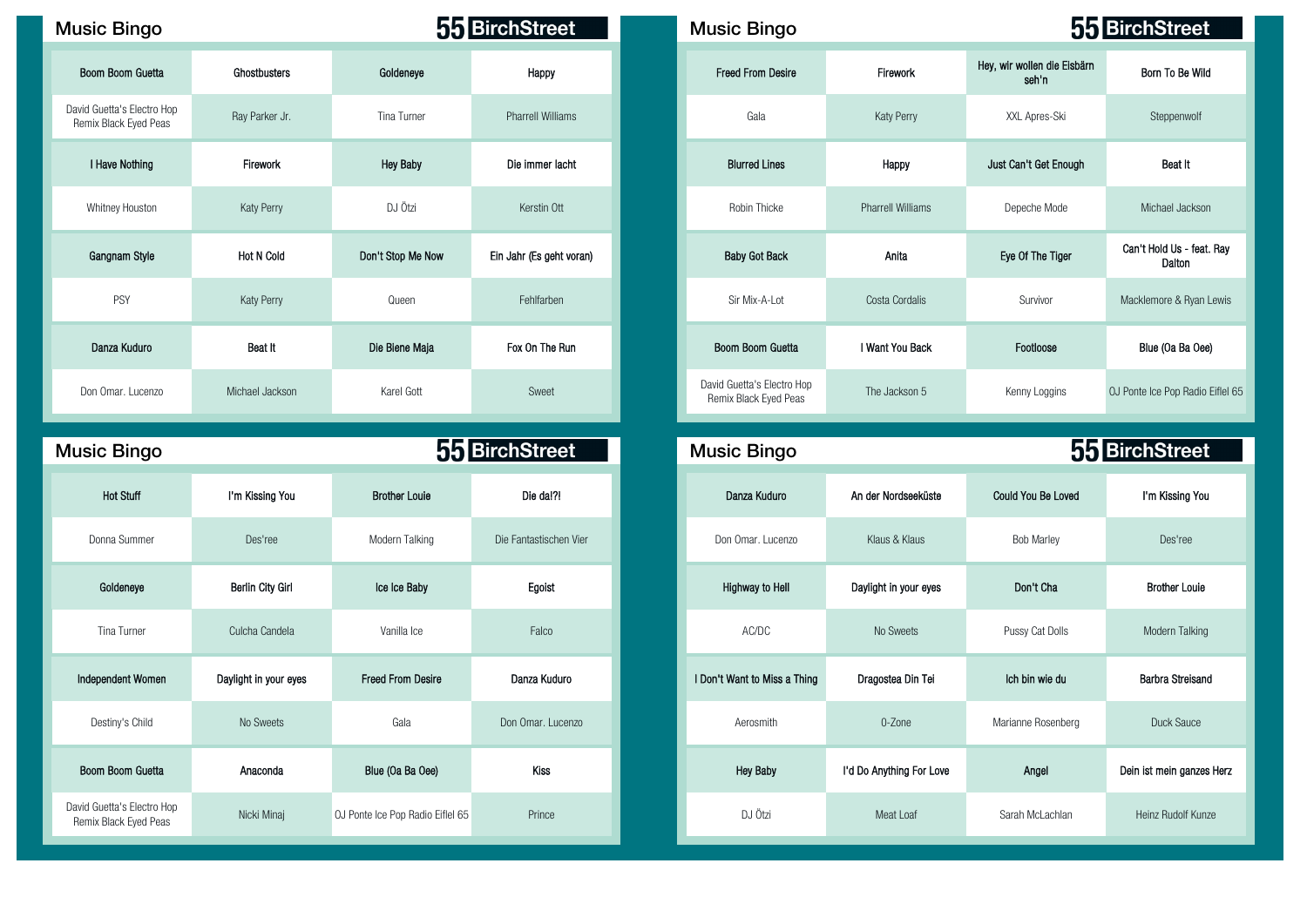|  | <b>Music Bingo</b> |
|--|--------------------|
|  |                    |

| <b>Music Bingo</b>                                  |                   |                   | 55 BirchStreet           | <b>Music Bingo</b>                                  |                          | 55 BirchStree                        |                              |  |
|-----------------------------------------------------|-------------------|-------------------|--------------------------|-----------------------------------------------------|--------------------------|--------------------------------------|------------------------------|--|
| Boom Boom Guetta                                    | Ghostbusters      | Goldeneye         | Happy                    | <b>Freed From Desire</b>                            | Firework                 | Hey, wir wollen die Eisbärn<br>seh'n | Born To Be W                 |  |
| David Guetta's Electro Hop<br>Remix Black Eyed Peas | Ray Parker Jr.    | Tina Turner       | <b>Pharrell Williams</b> | Gala                                                | <b>Katy Perry</b>        | XXL Apres-Ski                        | Steppenwolf                  |  |
| I Have Nothing                                      | <b>Firework</b>   | <b>Hey Baby</b>   | Die immer lacht          | <b>Blurred Lines</b>                                | Happy                    | Just Can't Get Enough                | Beat It                      |  |
| Whitney Houston                                     | <b>Katy Perry</b> | DJ Ötzi           | Kerstin Ott              | Robin Thicke                                        | <b>Pharrell Williams</b> | Depeche Mode                         | Michael Jacks                |  |
| Gangnam Style                                       | <b>Hot N Cold</b> | Don't Stop Me Now | Ein Jahr (Es geht voran) | <b>Baby Got Back</b>                                | Anita                    | Eye Of The Tiger                     | Can't Hold Us - fe<br>Dalton |  |
| PSY                                                 | <b>Katy Perry</b> | Queen             | Fehlfarben               | Sir Mix-A-Lot                                       | Costa Cordalis           | Survivor                             | Macklemore & Ryar            |  |
| Danza Kuduro                                        | Beat It           | Die Biene Maja    | Fox On The Run           | Boom Boom Guetta                                    | I Want You Back          | Footloose                            | Blue (Oa Ba O                |  |
| Don Omar. Lucenzo                                   | Michael Jackson   | Karel Gott        | Sweet                    | David Guetta's Electro Hop<br>Remix Black Eyed Peas | The Jackson 5            | Kenny Loggins                        | OJ Ponte Ice Pop Radi        |  |

| <b>Music Bingo</b>                                  |                       |                                  | 55 BirchStreet         | <b>Music Bingo</b>           |                          |                           | 55 BirchStreet          |
|-----------------------------------------------------|-----------------------|----------------------------------|------------------------|------------------------------|--------------------------|---------------------------|-------------------------|
| <b>Hot Stuff</b>                                    | I'm Kissing You       | <b>Brother Louie</b>             | Die da!?!              | Danza Kuduro                 | An der Nordseeküste      | <b>Could You Be Loved</b> | I'm Kissing You         |
| Donna Summer                                        | Des'ree               | Modern Talking                   | Die Fantastischen Vier | Don Omar, Lucenzo            | Klaus & Klaus            | <b>Bob Marley</b>         | Des'ree                 |
| Goldeneye                                           | Berlin City Girl      | Ice Ice Baby                     | Egoist                 | Highway to Hell              | Daylight in your eyes    | Don't Cha                 | <b>Brother Louie</b>    |
| Tina Turner                                         | Culcha Candela        | Vanilla Ice                      | Falco                  | AC/DC                        | No Sweets                | Pussy Cat Dolls           | Modern Talking          |
| Independent Women                                   | Daylight in your eyes | <b>Freed From Desire</b>         | Danza Kuduro           | I Don't Want to Miss a Thing | Dragostea Din Tei        | Ich bin wie du            | <b>Barbra Streisand</b> |
| Destiny's Child                                     | No Sweets             | Gala                             | Don Omar. Lucenzo      | Aerosmith                    | 0-Zone                   | Marianne Rosenberg        | Duck Sauce              |
| Boom Boom Guetta                                    | Anaconda              | Blue (Oa Ba Oee)                 | Kiss                   | <b>Hey Baby</b>              | I'd Do Anything For Love | Angel                     | Dein ist mein ganzes I  |
| David Guetta's Electro Hop<br>Remix Black Eyed Peas | Nicki Minaj           | OJ Ponte Ice Pop Radio Eiflel 65 | Prince                 | DJ Ötzi                      | Meat Loaf                | Sarah McLachlan           | Heinz Rudolf Kunze      |

| sic Bingo                                     |                   |                   | 55 BirchStreet           | <b>Music Bingo</b>                                  |                          |                                      | 55 BirchStreet                      |
|-----------------------------------------------|-------------------|-------------------|--------------------------|-----------------------------------------------------|--------------------------|--------------------------------------|-------------------------------------|
| oom Boom Guetta                               | Ghostbusters      | Goldeneye         | Happy                    | <b>Freed From Desire</b>                            | Firework                 | Hey, wir wollen die Eisbärn<br>seh'n | Born To Be Wild                     |
| d Guetta's Electro Hop<br>nix Black Eyed Peas | Ray Parker Jr.    | Tina Turner       | <b>Pharrell Williams</b> | Gala                                                | Katy Perry               | XXL Apres-Ski                        | Steppenwolf                         |
| I Have Nothing                                | Firework          | <b>Hey Baby</b>   | Die immer lacht          | <b>Blurred Lines</b>                                | Happy                    | Just Can't Get Enough                | Beat It                             |
| Whitney Houston                               | Katy Perry        | DJ Ötzi           | Kerstin Ott              | Robin Thicke                                        | <b>Pharrell Williams</b> | Depeche Mode                         | Michael Jackson                     |
| Gangnam Style                                 | <b>Hot N Cold</b> | Don't Stop Me Now | Ein Jahr (Es geht voran) | <b>Baby Got Back</b>                                | Anita                    | Eye Of The Tiger                     | Can't Hold Us - feat. Ray<br>Dalton |
| PSY                                           | Katy Perry        | Queen             | Fehlfarben               | Sir Mix-A-Lot                                       | Costa Cordalis           | Survivor                             | Macklemore & Ryan Lewis             |
| Danza Kuduro                                  | Beat It           | Die Biene Maja    | Fox On The Run           | Boom Boom Guetta                                    | I Want You Back          | Footloose                            | Blue (Oa Ba Oee)                    |
| on Omar. Lucenzo                              | Michael Jackson   | Karel Gott        | Sweet                    | David Guetta's Electro Hop<br>Remix Black Eyed Peas | The Jackson 5            | Kenny Loggins                        | OJ Ponte Ice Pop Radio Eiflel 65    |

| sic Bingo                                       |                         |                                  | 55 BirchStreet         | <b>Music Bingo</b>           |                          |                           | 55 BirchStreet            |
|-------------------------------------------------|-------------------------|----------------------------------|------------------------|------------------------------|--------------------------|---------------------------|---------------------------|
| <b>Hot Stuff</b>                                | I'm Kissing You         | <b>Brother Louie</b>             | Die da!?!              | Danza Kuduro                 | An der Nordseeküste      | <b>Could You Be Loved</b> | I'm Kissing You           |
| Donna Summer                                    | Des'ree                 | Modern Talking                   | Die Fantastischen Vier | Don Omar. Lucenzo            | Klaus & Klaus            | <b>Bob Marley</b>         | Des'ree                   |
| Goldeneye                                       | <b>Berlin City Girl</b> | Ice Ice Baby                     | Egoist                 | <b>Highway to Hell</b>       | Daylight in your eyes    | Don't Cha                 | <b>Brother Louie</b>      |
| Tina Turner                                     | Culcha Candela          | Vanilla Ice                      | Falco                  | AC/DC                        | No Sweets                | Pussy Cat Dolls           | Modern Talking            |
| ndependent Women                                | Daylight in your eyes   | <b>Freed From Desire</b>         | Danza Kuduro           | I Don't Want to Miss a Thing | Dragostea Din Tei        | Ich bin wie du            | <b>Barbra Streisand</b>   |
| Destiny's Child                                 | No Sweets               | Gala                             | Don Omar, Lucenzo      | Aerosmith                    | 0-Zone                   | Marianne Rosenberg        | Duck Sauce                |
| Boom Boom Guetta                                | Anaconda                | Blue (Oa Ba Oee)                 | Kiss                   | Hey Baby                     | I'd Do Anything For Love | Angel                     | Dein ist mein ganzes Herz |
| id Guetta's Electro Hop<br>emix Black Eyed Peas | Nicki Minaj             | OJ Ponte Ice Pop Radio Eiflel 65 | Prince                 | DJ Ötzi                      | Meat Loaf                | Sarah McLachlan           | Heinz Rudolf Kunze        |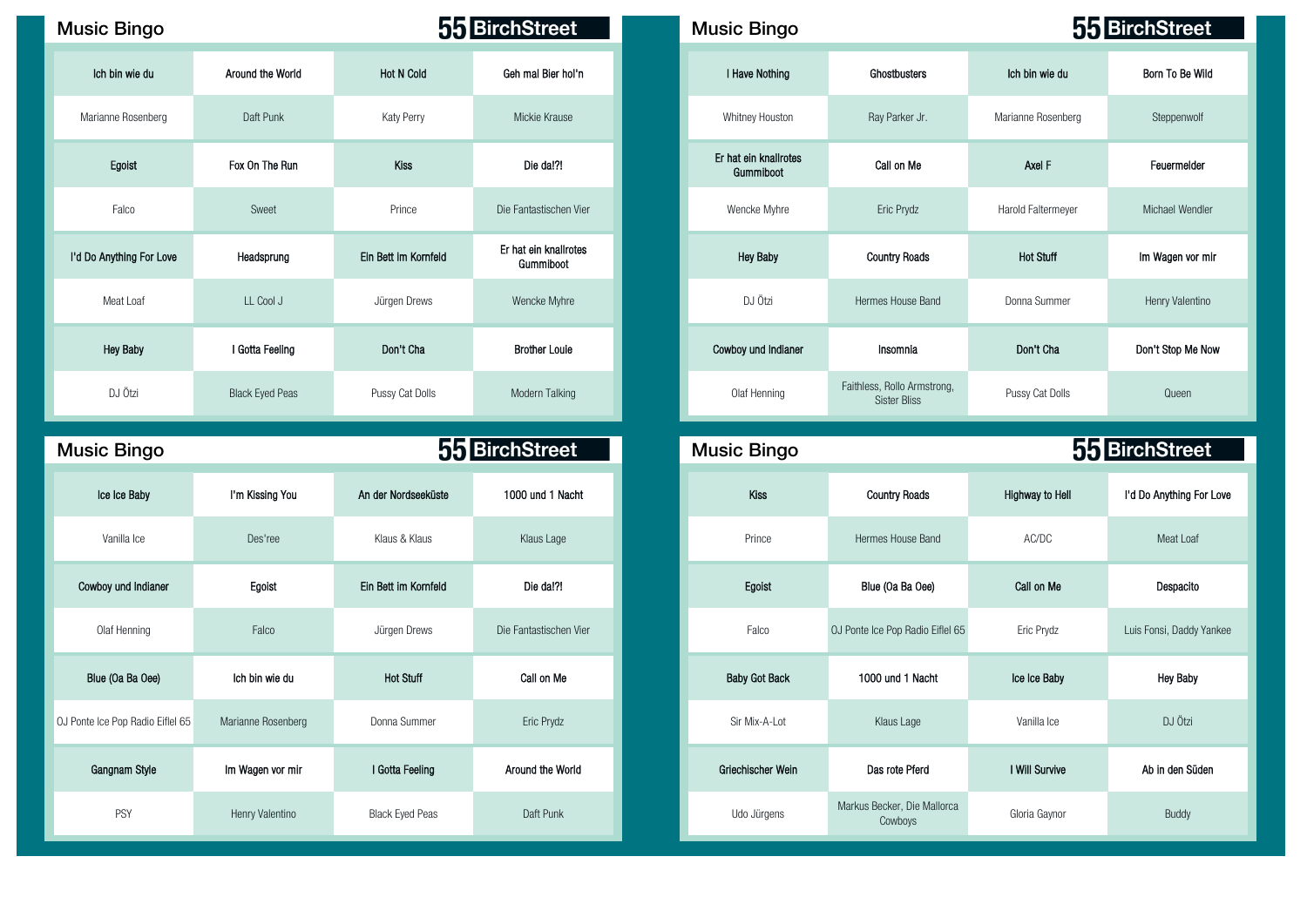## Music Bingo **Music Bingo Music Bingo Music Bingo Music Bingo Music Bingo Music Bingo**

| Ich bin wie du           | Around the World       | <b>Hot N Cold</b>    | Geh mal Bier hol'n                 | I Have Nothing                     | Ghostbusters                                       | Ich bin wie du     | Born To Be W          |
|--------------------------|------------------------|----------------------|------------------------------------|------------------------------------|----------------------------------------------------|--------------------|-----------------------|
| Marianne Rosenberg       | Daft Punk              | Katy Perry           | Mickie Krause                      | Whitney Houston                    | Ray Parker Jr.                                     | Marianne Rosenberg | Steppenwolf           |
| Egoist                   | Fox On The Run         | Kiss                 | Die dal?!                          | Er hat ein knallrotes<br>Gummiboot | Call on Me                                         | Axel F             | Feuermelde            |
| Falco                    | Sweet                  | Prince               | Die Fantastischen Vier             | Wencke Myhre                       | Eric Prydz                                         | Harold Faltermeyer | Michael Wend          |
| I'd Do Anything For Love | Headsprung             | Ein Bett im Kornfeld | Er hat ein knallrotes<br>Gummiboot | <b>Hey Baby</b>                    | <b>Country Roads</b>                               | <b>Hot Stuff</b>   | Im Wagen vor          |
| Meat Loaf                | LL Cool J              | Jürgen Drews         | Wencke Myhre                       | DJ Ötzi                            | Hermes House Band                                  | Donna Summer       | <b>Henry Valentir</b> |
| <b>Hey Baby</b>          | I Gotta Feeling        | Don't Cha            | <b>Brother Louie</b>               | Cowboy und Indianer                | Insomnia                                           | Don't Cha          | Don't Stop Me I       |
| DJ Ötzi                  | <b>Black Eyed Peas</b> | Pussy Cat Dolls      | Modern Talking                     | Olaf Henning                       | Faithless, Rollo Armstrong,<br><b>Sister Bliss</b> | Pussy Cat Dolls    | Queen                 |

| <b>Music Bingo</b>               |                    | 55 BirchStreet         |                        | <b>Music Bingo</b>   |                                        |                 | 55 BirchStreet        |
|----------------------------------|--------------------|------------------------|------------------------|----------------------|----------------------------------------|-----------------|-----------------------|
| Ice Ice Baby                     | I'm Kissing You    | An der Nordseeküste    | 1000 und 1 Nacht       | Kiss                 | <b>Country Roads</b>                   | Highway to Hell | I'd Do Anything For I |
| Vanilla Ice                      | Des'ree            | Klaus & Klaus          | Klaus Lage             | Prince               | Hermes House Band                      | AC/DC           | Meat Loaf             |
| Cowboy und Indianer              | Egoist             | Ein Bett im Kornfeld   | Die dal?!              | Egoist               | Blue (Oa Ba Oee)                       | Call on Me      | Despacito             |
| Olaf Henning                     | Falco              | Jürgen Drews           | Die Fantastischen Vier | Falco                | OJ Ponte Ice Pop Radio Eiflel 65       | Eric Prydz      | Luis Fonsi, Daddy Ya  |
| Blue (Oa Ba Oee)                 | Ich bin wie du     | <b>Hot Stuff</b>       | Call on Me             | <b>Baby Got Back</b> | 1000 und 1 Nacht                       | Ice Ice Baby    | <b>Hey Baby</b>       |
| OJ Ponte Ice Pop Radio Eiflel 65 | Marianne Rosenberg | Donna Summer           | Eric Prydz             | Sir Mix-A-Lot        | Klaus Lage                             | Vanilla Ice     | DJ Ötzi               |
| Gangnam Style                    | Im Wagen vor mir   | I Gotta Feeling        | Around the World       | Griechischer Wein    | Das rote Pferd                         | I Will Survive  | Ab in den Süden       |
| PSY                              | Henry Valentino    | <b>Black Eyed Peas</b> | Daft Punk              | Udo Jürgens          | Markus Becker, Die Mallorca<br>Cowboys | Gloria Gaynor   | <b>Buddy</b>          |

| ic Bingo          |                        |                      | 55 BirchStreet                     | <b>Music Bingo</b>                 |                                             |                    | 55 BirchStreet    |
|-------------------|------------------------|----------------------|------------------------------------|------------------------------------|---------------------------------------------|--------------------|-------------------|
| lch bin wie du    | Around the World       | <b>Hot N Cold</b>    | Geh mal Bier hol'n                 | I Have Nothing                     | Ghostbusters                                | Ich bin wie du     | Born To Be Wild   |
| rianne Rosenberg  | Daft Punk              | Katy Perry           | Mickie Krause                      | Whitney Houston                    | Ray Parker Jr.                              | Marianne Rosenberg | Steppenwolf       |
| Egoist            | Fox On The Run         | Kiss                 | Die dal?l                          | Er hat ein knallrotes<br>Gummiboot | Call on Me                                  | Axel F             | Feuermelder       |
| Falco             | Sweet                  | Prince               | Die Fantastischen Vier             | Wencke Myhre                       | Eric Prydz                                  | Harold Faltermeyer | Michael Wendler   |
| Anything For Love | Headsprung             | Ein Bett im Kornfeld | Er hat ein knallrotes<br>Gummiboot | <b>Hey Baby</b>                    | <b>Country Roads</b>                        | <b>Hot Stuff</b>   | Im Wagen vor mir  |
| Meat Loaf         | LL Cool J              | Jürgen Drews         | Wencke Myhre                       | DJ Ötzi                            | Hermes House Band                           | Donna Summer       | Henry Valentino   |
| <b>Hey Baby</b>   | I Gotta Feeling        | Don't Cha            | <b>Brother Louie</b>               | Cowboy und Indianer                | Insomnia                                    | Don't Cha          | Don't Stop Me Now |
| DJ Ötzi           | <b>Black Eyed Peas</b> | Pussy Cat Dolls      | Modern Talking                     | Olaf Henning                       | Faithless, Rollo Armstrong,<br>Sister Bliss | Pussy Cat Dolls    | Queen             |

| ic Bingo                |                    |                        | 55 BirchStreet         | <b>Music Bingo</b>   |                                        |                 | 55 BirchStreet           |
|-------------------------|--------------------|------------------------|------------------------|----------------------|----------------------------------------|-----------------|--------------------------|
| Ice Ice Baby            | I'm Kissing You    | An der Nordseeküste    | 1000 und 1 Nacht       | Kiss                 | <b>Country Roads</b>                   | Highway to Hell | I'd Do Anything For Love |
| Vanilla Ice             | Des'ree            | Klaus & Klaus          | Klaus Lage             | Prince               | Hermes House Band                      | AC/DC           | Meat Loaf                |
| boy und Indianer        | Egoist             | Ein Bett im Kornfeld   | Die dal?!              | Egoist               | Blue (Oa Ba Oee)                       | Call on Me      | Despacito                |
| Olaf Henning            | Falco              | Jürgen Drews           | Die Fantastischen Vier | Falco                | OJ Ponte Ice Pop Radio Eiflel 65       | Eric Prydz      | Luis Fonsi, Daddy Yankee |
| ue (Oa Ba Oee)          | Ich bin wie du     | <b>Hot Stuff</b>       | Call on Me             | <b>Baby Got Back</b> | 1000 und 1 Nacht                       | Ice Ice Baby    | Hey Baby                 |
| Ice Pop Radio Eiflel 65 | Marianne Rosenberg | Donna Summer           | Eric Prydz             | Sir Mix-A-Lot        | Klaus Lage                             | Vanilla Ice     | DJ Ötzi                  |
| angnam Style            | Im Wagen vor mir   | I Gotta Feeling        | Around the World       | Griechischer Wein    | Das rote Pferd                         | I Will Survive  | Ab in den Süden          |
| PSY                     | Henry Valentino    | <b>Black Eyed Peas</b> | Daft Punk              | Udo Jürgens          | Markus Becker, Die Mallorca<br>Cowboys | Gloria Gaynor   | Buddy                    |